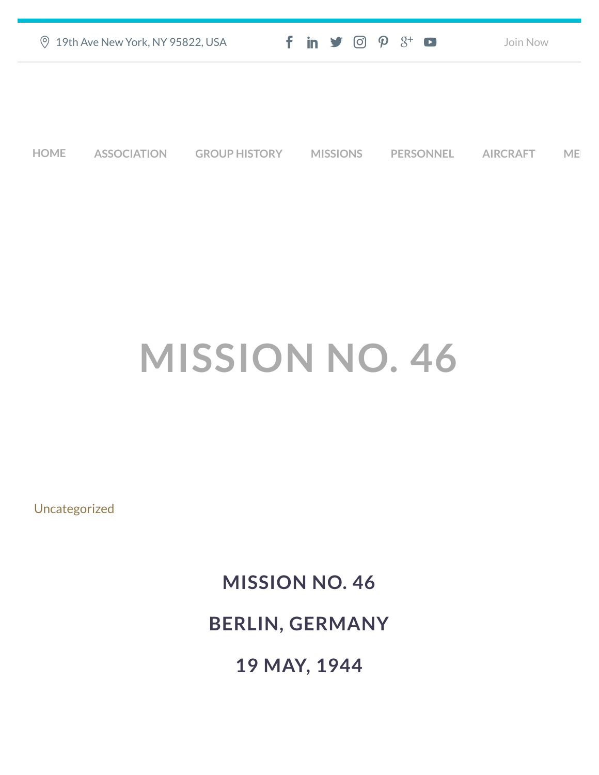| 2 19th Ave New York, NY 95822, USA | $f$ in $\blacktriangleright$ $\odot$ $\varphi$ $3$ <sup>+</sup> $\blacktriangleright$ | Join Now |
|------------------------------------|---------------------------------------------------------------------------------------|----------|
|                                    |                                                                                       |          |
|                                    |                                                                                       |          |

**[HOME](https://457thbombgroupassoc.org/)** [ASSOCIATION](https://457thbombgroupassoc.org/mission-no-46/#) [GROUP HISTORY](https://457thbombgroupassoc.org/mission-no-46/#) [MISSIONS](https://457thbombgroupassoc.org/mission-no-46/#) [PERSONNEL](https://457thbombgroupassoc.org/mission-no-46/#) [AIRCRAFT](https://457thbombgroupassoc.org/mission-no-46/#) [MED](https://457thbombgroupassoc.org/mission-no-46/#)

# **MISSION NO. 46**

[Uncategorized](https://457thbombgroupassoc.org/category/uncategorized/)

## **MISSION NO. 46 BERLIN, GERMANY**

**19 MAY, 1944**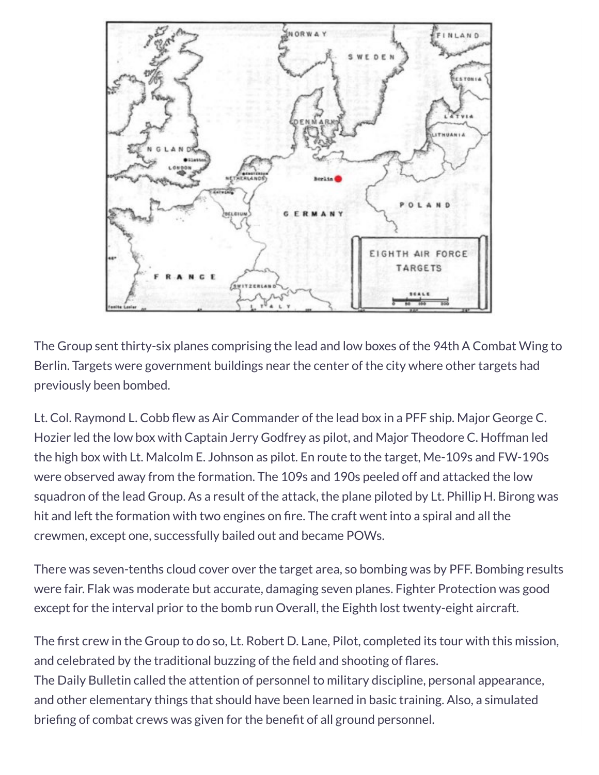

The Group sent thirty-six planes comprising the lead and low boxes of the 94th A Combat Wing to Berlin. Targets were government buildings near the center of the city where other targets had previously been bombed.

Lt. Col. Raymond L. Cobb flew as Air Commander of the lead box in a PFF ship. Major George C. Hozier led the low box with Captain Jerry Godfrey as pilot, and Major Theodore C. Hoffman led the high box with Lt. Malcolm E. Johnson as pilot. En route to the target, Me-109s and FW-190s were observed away from the formation. The 109s and 190s peeled off and attacked the low squadron of the lead Group. As a result of the attack, the plane piloted by Lt. Phillip H. Birong was hit and left the formation with two engines on fire. The craft went into a spiral and all the crewmen, except one, successfully bailed out and became POWs.

There was seven-tenths cloud cover over the target area, so bombing was by PFF. Bombing results were fair. Flak was moderate but accurate, damaging seven planes. Fighter Protection was good except for the interval prior to the bomb run Overall, the Eighth lost twenty-eight aircraft.

The first crew in the Group to do so, Lt. Robert D. Lane, Pilot, completed its tour with this mission, and celebrated by the traditional buzzing of the field and shooting of flares. The Daily Bulletin called the attention of personnel to military discipline, personal appearance, and other elementary things that should have been learned in basic training. Also, a simulated briefing of combat crews was given for the benefit of all ground personnel.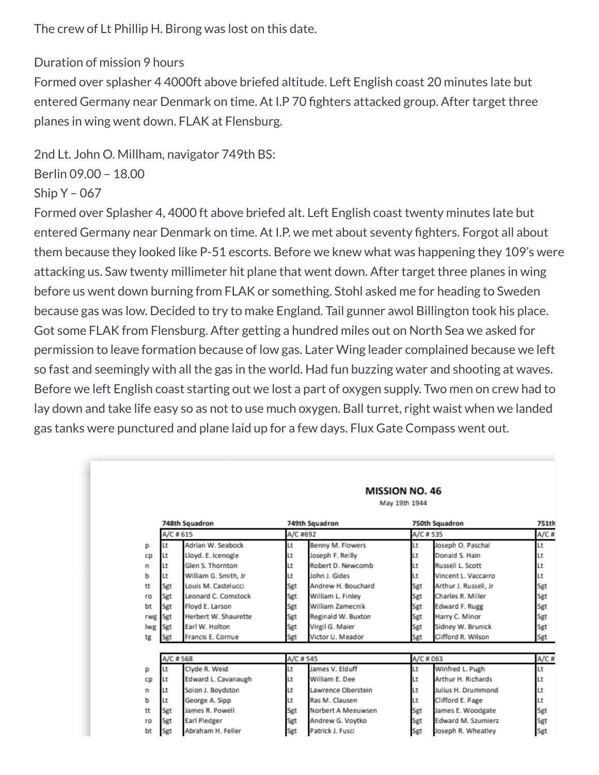#### The crew of Lt Phillip H. Birong was lost on this date.

### Duration of mission 9 hours

Formed over splasher 4 4000ft above briefed altitude. Left English coast 20 minutes late but entered Germany near Denmark on time. At I.P 70 fighters attacked group. After target three planes in wing went down. FLAK at Flensburg.

2nd Lt. John O. Millham, navigator 749th BS:



#### Ship Y – 067

Formed over Splasher 4, 4000 ft above briefed alt. Left English coast twenty minutes late but entered Germany near Denmark on time. At I.P. we met about seventy fighters. Forgot all about them because they looked like P-51 escorts. Before we knew what was happening they 109's were attacking us. Saw twenty millimeter hit plane that went down. After target three planes in wing before us went down burning from FLAK or something. Stohl asked me for heading to Sweden because gas was low. Decided to try to make England. Tail gunner awol Billington took his place. Got some FLAK from Flensburg. After getting a hundred miles out on North Sea we asked for permission to leave formation because of low gas. Later Wing leader complained because we left so fast and seemingly with all the gas in the world. Had fun buzzing water and shooting at waves. Before we left English coast starting out we lost a part of oxygen supply. Two men on crew had to lay down and take life easy so as not to use much oxygen. Ball turret, right waist when we landed gas tanks were punctured and plane laid up for a few days. Flux Gate Compass went out.

|     | May 19th 1944              |                      |                            |                    |                            |                       |                  |  |
|-----|----------------------------|----------------------|----------------------------|--------------------|----------------------------|-----------------------|------------------|--|
|     | 748th Squadron<br>A/C #615 |                      | 749th Squadron<br>A/C #692 |                    | 750th Squadron<br>A/C #535 |                       | 751th<br>$A/C$ # |  |
| р   | Lt                         | Adrian W. Seabock    | Lt                         | Benny M. Flowers   | Lt                         | Joseph O. Paschal     | Lt               |  |
| CD  | Lt                         | Lloyd. E. Icenogle   | Lt                         | Joseph F. Reilly   | Lt                         | Donald S. Hain        | Lt               |  |
| n   | Lt                         | Glen S. Thornton     | Lt                         | Robert D. Newcomb  | Lt                         | Russell L. Scott      | Lt               |  |
| ь   | Lt                         | William G. Smith, Jr | Lt                         | John J. Gides      | Lt                         | Vincent L. Vaccarro   | Lt               |  |
| tt  | Sgt                        | Louis M. Castelucci  | Sgt                        | Andrew H. Bouchard | Sgt                        | Arthur J. Russell, Jr | Sgt              |  |
| ro  | Sgt                        | Leonard C. Comstock  | Sgt                        | William L. Finley  | Sgt                        | Charles R. Miller     | Sgt              |  |
| bt  | Sgt                        | Floyd E. Larson      | Sgt                        | William Zamecnik   | Sgt                        | Edward F. Rugg        | Sgt              |  |
| rwg | Sgt                        | Herbert W. Shaurette | Sgt                        | Reginald W. Buxton | Sgt                        | Harry C. Minor        | Sgt              |  |
| lwg | Sgt                        | Farl W. Holton       | Sgt                        | Virgil G. Maier    | Sgt                        | Sidney W. Brunick     | Sgt              |  |
| tg  | Sgt                        | Francis E. Cornue    | Sgt                        | Victor U. Meador   | Sgt                        | Clifford R. Wilson    | Sgt              |  |
|     | A/C #568                   |                      | A/C #545                   |                    | A/C # 063                  |                       | A/C#             |  |
| р   | Lt                         | Clyde R. Weid        | Lt                         | James V. Elduff    | Lt                         | Winfred L. Pugh       | Lt               |  |
| CD  | Lt                         | Edward L. Cavanaugh  | Lt                         | William E. Dee     | Lt                         | Arthur H. Richards    | Lt               |  |
| n   | Lt                         | Solon J. Boydston    | Lt                         | Lawrence Oberstein | Lt                         | Julius H. Drummond    | Lt               |  |
| ь   | Lt                         | George A. Sipp       | Lt                         | Ras M. Clausen     | Lt                         | Clifford E. Page      | Lt               |  |
| tt  | Sgt                        | James R. Powell      | Sgt                        | Norbert A Meeuwsen | Sgt                        | James E. Woodgate     | Sgt              |  |
| ro  | Sgt                        | Earl Pledger         | Sgt                        | Andrew G. Voytko   | Sgt                        | Edward M. Szumierz    | Sgt              |  |
|     |                            |                      |                            |                    |                            |                       |                  |  |